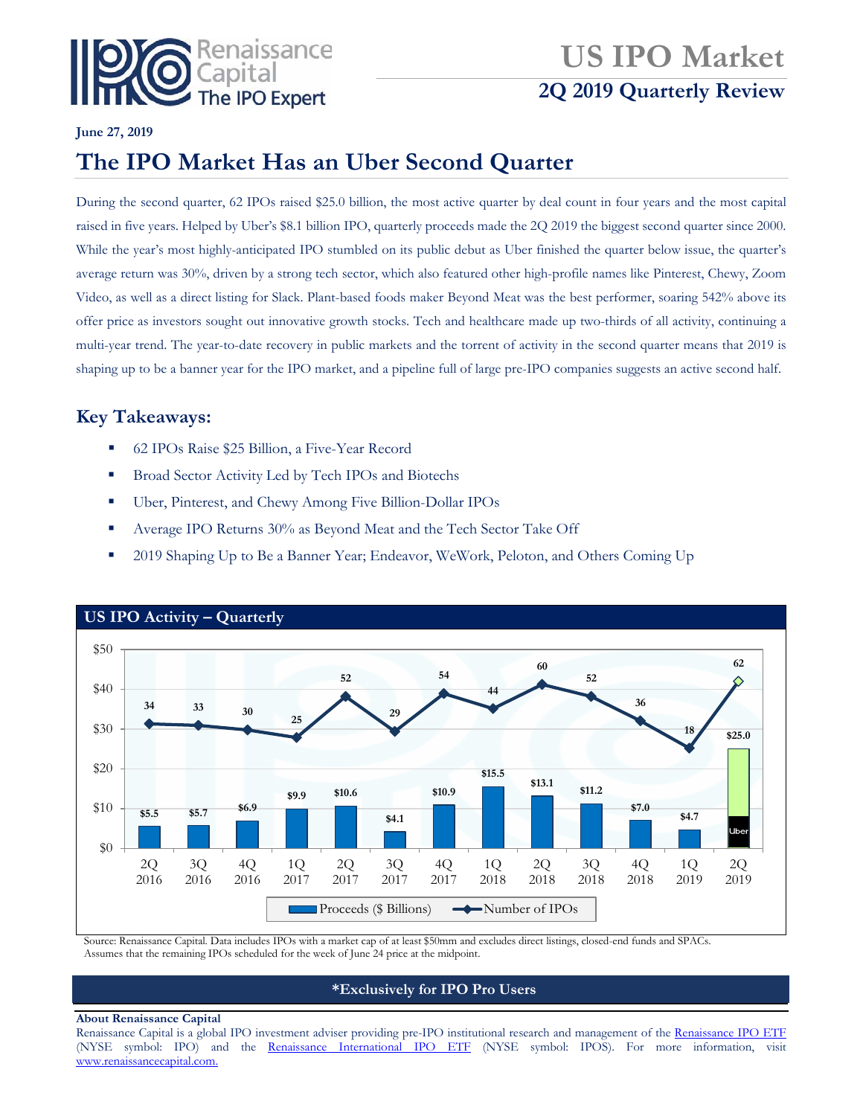

# **US IPO Market 2Q 2019 Quarterly Review**

## **June 27, 2019**

## **The IPO Market Has an Uber Second Quarter**

During the second quarter, 62 IPOs raised \$25.0 billion, the most active quarter by deal count in four years and the most capital raised in five years. Helped by Uber's \$8.1 billion IPO, quarterly proceeds made the 2Q 2019 the biggest second quarter since 2000. While the year's most highly-anticipated IPO stumbled on its public debut as Uber finished the quarter below issue, the quarter's average return was 30%, driven by a strong tech sector, which also featured other high-profile names like Pinterest, Chewy, Zoom Video, as well as a direct listing for Slack. Plant-based foods maker Beyond Meat was the best performer, soaring 542% above its offer price as investors sought out innovative growth stocks. Tech and healthcare made up two-thirds of all activity, continuing a multi-year trend. The year-to-date recovery in public markets and the torrent of activity in the second quarter means that 2019 is shaping up to be a banner year for the IPO market, and a pipeline full of large pre-IPO companies suggests an active second half.

## **Key Takeaways:**

- 62 IPOs Raise \$25 Billion, a Five-Year Record
- **Broad Sector Activity Led by Tech IPOs and Biotechs**
- Uber, Pinterest, and Chewy Among Five Billion-Dollar IPOs
- Average IPO Returns 30% as Beyond Meat and the Tech Sector Take Off
- 2019 Shaping Up to Be a Banner Year; Endeavor, WeWork, Peloton, and Others Coming Up



Source: Renaissance Capital. Data includes IPOs with a market cap of at least \$50mm and excludes direct listings, closed-end funds and SPACs. Assumes that the remaining IPOs scheduled for the week of June 24 price at the midpoint.

## **\*Exclusively for IPO Pro Users**

#### **About Renaissance Capital**

Renaissance Capital is a global IPO investment adviser providing pre-IPO institutional research and management of the [Renaissance IPO ETF](http://www.renaissancecapital.com/IPOInvesting/IPOETF/IPOETF.aspx) (NYSE symbol: IPO) and the [Renaissance International IPO ETF](http://www.renaissancecapital.com/ipoinvesting/iposetf/iposetf.aspx) (NYSE symbol: IPOS). For more information, visit [www.renaissancecapital.com.](http://www.renaissancecapital.com/)